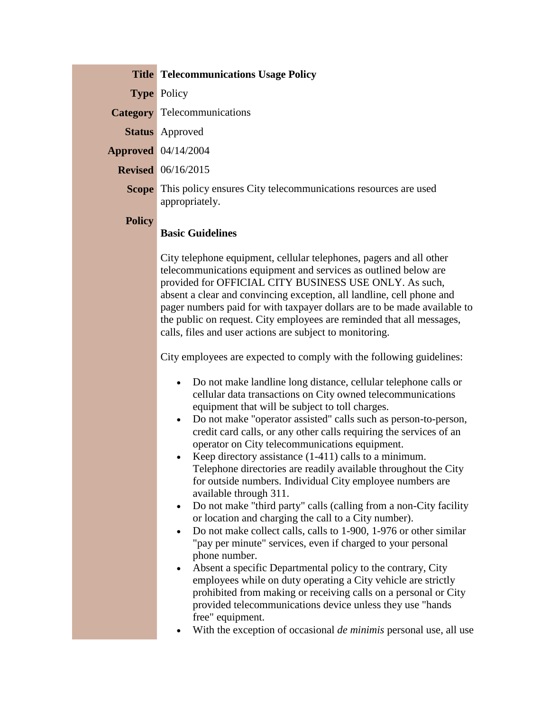|                                                  | <b>Title Telecommunications Usage Policy</b>                                                                                                                                                                                                                                                                                                                                                                                                                                                                                                                                                                                                                                                                                                                                                                                                                                                                                                                                                                                                                                                                                                                                                                                                                                                                                                                                                                                                                                                                                                                                                                                                                                                                                                                                                                            |
|--------------------------------------------------|-------------------------------------------------------------------------------------------------------------------------------------------------------------------------------------------------------------------------------------------------------------------------------------------------------------------------------------------------------------------------------------------------------------------------------------------------------------------------------------------------------------------------------------------------------------------------------------------------------------------------------------------------------------------------------------------------------------------------------------------------------------------------------------------------------------------------------------------------------------------------------------------------------------------------------------------------------------------------------------------------------------------------------------------------------------------------------------------------------------------------------------------------------------------------------------------------------------------------------------------------------------------------------------------------------------------------------------------------------------------------------------------------------------------------------------------------------------------------------------------------------------------------------------------------------------------------------------------------------------------------------------------------------------------------------------------------------------------------------------------------------------------------------------------------------------------------|
| <b>Type Policy</b>                               |                                                                                                                                                                                                                                                                                                                                                                                                                                                                                                                                                                                                                                                                                                                                                                                                                                                                                                                                                                                                                                                                                                                                                                                                                                                                                                                                                                                                                                                                                                                                                                                                                                                                                                                                                                                                                         |
| <b>Category</b> Telecommunications               |                                                                                                                                                                                                                                                                                                                                                                                                                                                                                                                                                                                                                                                                                                                                                                                                                                                                                                                                                                                                                                                                                                                                                                                                                                                                                                                                                                                                                                                                                                                                                                                                                                                                                                                                                                                                                         |
| <b>Status</b> Approved                           |                                                                                                                                                                                                                                                                                                                                                                                                                                                                                                                                                                                                                                                                                                                                                                                                                                                                                                                                                                                                                                                                                                                                                                                                                                                                                                                                                                                                                                                                                                                                                                                                                                                                                                                                                                                                                         |
| <b>Approved</b> 04/14/2004                       |                                                                                                                                                                                                                                                                                                                                                                                                                                                                                                                                                                                                                                                                                                                                                                                                                                                                                                                                                                                                                                                                                                                                                                                                                                                                                                                                                                                                                                                                                                                                                                                                                                                                                                                                                                                                                         |
| <b>Revised</b> 06/16/2015                        |                                                                                                                                                                                                                                                                                                                                                                                                                                                                                                                                                                                                                                                                                                                                                                                                                                                                                                                                                                                                                                                                                                                                                                                                                                                                                                                                                                                                                                                                                                                                                                                                                                                                                                                                                                                                                         |
| appropriately.                                   | <b>Scope</b> This policy ensures City telecommunications resources are used                                                                                                                                                                                                                                                                                                                                                                                                                                                                                                                                                                                                                                                                                                                                                                                                                                                                                                                                                                                                                                                                                                                                                                                                                                                                                                                                                                                                                                                                                                                                                                                                                                                                                                                                             |
| <b>Policy</b><br><b>Basic Guidelines</b>         |                                                                                                                                                                                                                                                                                                                                                                                                                                                                                                                                                                                                                                                                                                                                                                                                                                                                                                                                                                                                                                                                                                                                                                                                                                                                                                                                                                                                                                                                                                                                                                                                                                                                                                                                                                                                                         |
| $\bullet$<br>$\bullet$<br>$\bullet$<br>$\bullet$ | City telephone equipment, cellular telephones, pagers and all other<br>telecommunications equipment and services as outlined below are<br>provided for OFFICIAL CITY BUSINESS USE ONLY. As such,<br>absent a clear and convincing exception, all landline, cell phone and<br>pager numbers paid for with taxpayer dollars are to be made available to<br>the public on request. City employees are reminded that all messages,<br>calls, files and user actions are subject to monitoring.<br>City employees are expected to comply with the following guidelines:<br>Do not make landline long distance, cellular telephone calls or<br>cellular data transactions on City owned telecommunications<br>equipment that will be subject to toll charges.<br>Do not make "operator assisted" calls such as person-to-person,<br>credit card calls, or any other calls requiring the services of an<br>operator on City telecommunications equipment.<br>Keep directory assistance (1-411) calls to a minimum.<br>Telephone directories are readily available throughout the City<br>for outside numbers. Individual City employee numbers are<br>available through 311.<br>Do not make "third party" calls (calling from a non-City facility<br>or location and charging the call to a City number).<br>Do not make collect calls, calls to 1-900, 1-976 or other similar<br>"pay per minute" services, even if charged to your personal<br>phone number.<br>Absent a specific Departmental policy to the contrary, City<br>employees while on duty operating a City vehicle are strictly<br>prohibited from making or receiving calls on a personal or City<br>provided telecommunications device unless they use "hands<br>free" equipment.<br>With the exception of occasional <i>de minimis</i> personal use, all use |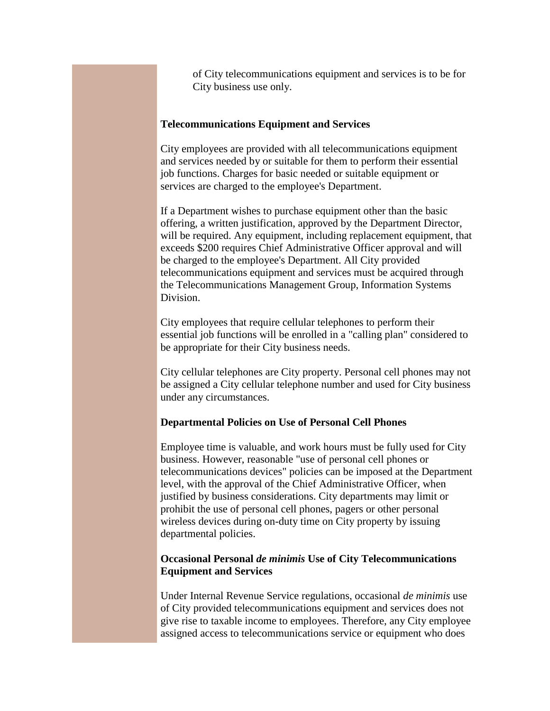of City telecommunications equipment and services is to be for City business use only.

## **Telecommunications Equipment and Services**

City employees are provided with all telecommunications equipment and services needed by or suitable for them to perform their essential job functions. Charges for basic needed or suitable equipment or services are charged to the employee's Department.

If a Department wishes to purchase equipment other than the basic offering, a written justification, approved by the Department Director, will be required. Any equipment, including replacement equipment, that exceeds \$200 requires Chief Administrative Officer approval and will be charged to the employee's Department. All City provided telecommunications equipment and services must be acquired through the Telecommunications Management Group, Information Systems Division.

City employees that require cellular telephones to perform their essential job functions will be enrolled in a "calling plan" considered to be appropriate for their City business needs.

City cellular telephones are City property. Personal cell phones may not be assigned a City cellular telephone number and used for City business under any circumstances.

## **Departmental Policies on Use of Personal Cell Phones**

Employee time is valuable, and work hours must be fully used for City business. However, reasonable "use of personal cell phones or telecommunications devices" policies can be imposed at the Department level, with the approval of the Chief Administrative Officer, when justified by business considerations. City departments may limit or prohibit the use of personal cell phones, pagers or other personal wireless devices during on-duty time on City property by issuing departmental policies.

## **Occasional Personal** *de minimis* **Use of City Telecommunications Equipment and Services**

Under Internal Revenue Service regulations, occasional *de minimis* use of City provided telecommunications equipment and services does not give rise to taxable income to employees. Therefore, any City employee assigned access to telecommunications service or equipment who does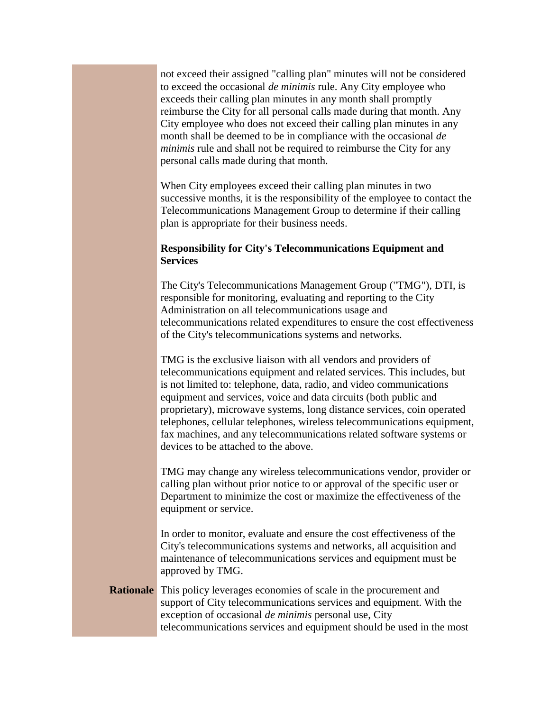not exceed their assigned "calling plan" minutes will not be considered to exceed the occasional *de minimis* rule. Any City employee who exceeds their calling plan minutes in any month shall promptly reimburse the City for all personal calls made during that month. Any City employee who does not exceed their calling plan minutes in any month shall be deemed to be in compliance with the occasional *de minimis* rule and shall not be required to reimburse the City for any personal calls made during that month.

When City employees exceed their calling plan minutes in two successive months, it is the responsibility of the employee to contact the Telecommunications Management Group to determine if their calling plan is appropriate for their business needs.

## **Responsibility for City's Telecommunications Equipment and Services**

The City's Telecommunications Management Group ("TMG"), DTI, is responsible for monitoring, evaluating and reporting to the City Administration on all telecommunications usage and telecommunications related expenditures to ensure the cost effectiveness of the City's telecommunications systems and networks.

TMG is the exclusive liaison with all vendors and providers of telecommunications equipment and related services. This includes, but is not limited to: telephone, data, radio, and video communications equipment and services, voice and data circuits (both public and proprietary), microwave systems, long distance services, coin operated telephones, cellular telephones, wireless telecommunications equipment, fax machines, and any telecommunications related software systems or devices to be attached to the above.

TMG may change any wireless telecommunications vendor, provider or calling plan without prior notice to or approval of the specific user or Department to minimize the cost or maximize the effectiveness of the equipment or service.

In order to monitor, evaluate and ensure the cost effectiveness of the City's telecommunications systems and networks, all acquisition and maintenance of telecommunications services and equipment must be approved by TMG.

**Rationale** This policy leverages economies of scale in the procurement and support of City telecommunications services and equipment. With the exception of occasional *de minimis* personal use, City telecommunications services and equipment should be used in the most